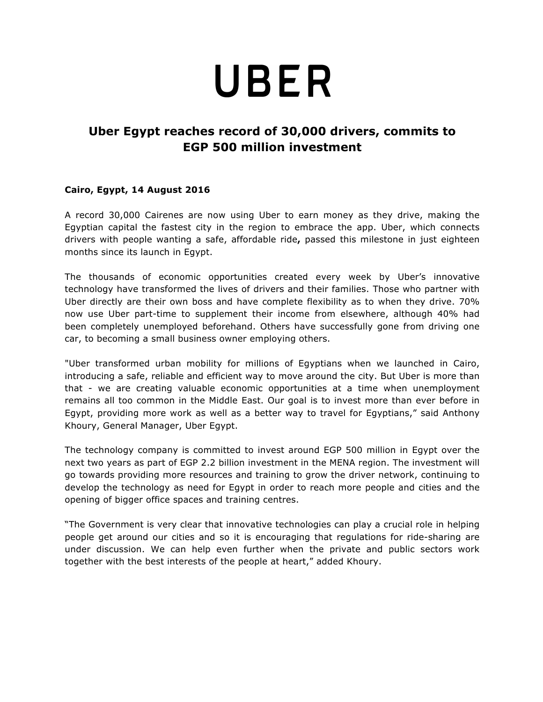## UBER

## **Uber Egypt reaches record of 30,000 drivers, commits to EGP 500 million investment**

## **Cairo, Egypt, 14 August 2016**

A record 30,000 Cairenes are now using Uber to earn money as they drive, making the Egyptian capital the fastest city in the region to embrace the app. Uber, which connects drivers with people wanting a safe, affordable ride**,** passed this milestone in just eighteen months since its launch in Egypt.

The thousands of economic opportunities created every week by Uber's innovative technology have transformed the lives of drivers and their families. Those who partner with Uber directly are their own boss and have complete flexibility as to when they drive. 70% now use Uber part-time to supplement their income from elsewhere, although 40% had been completely unemployed beforehand. Others have successfully gone from driving one car, to becoming a small business owner employing others.

"Uber transformed urban mobility for millions of Egyptians when we launched in Cairo, introducing a safe, reliable and efficient way to move around the city. But Uber is more than that - we are creating valuable economic opportunities at a time when unemployment remains all too common in the Middle East. Our goal is to invest more than ever before in Egypt, providing more work as well as a better way to travel for Egyptians," said Anthony Khoury, General Manager, Uber Egypt.

The technology company is committed to invest around EGP 500 million in Egypt over the next two years as part of EGP 2.2 billion investment in the MENA region. The investment will go towards providing more resources and training to grow the driver network, continuing to develop the technology as need for Egypt in order to reach more people and cities and the opening of bigger office spaces and training centres.

"The Government is very clear that innovative technologies can play a crucial role in helping people get around our cities and so it is encouraging that regulations for ride-sharing are under discussion. We can help even further when the private and public sectors work together with the best interests of the people at heart," added Khoury.